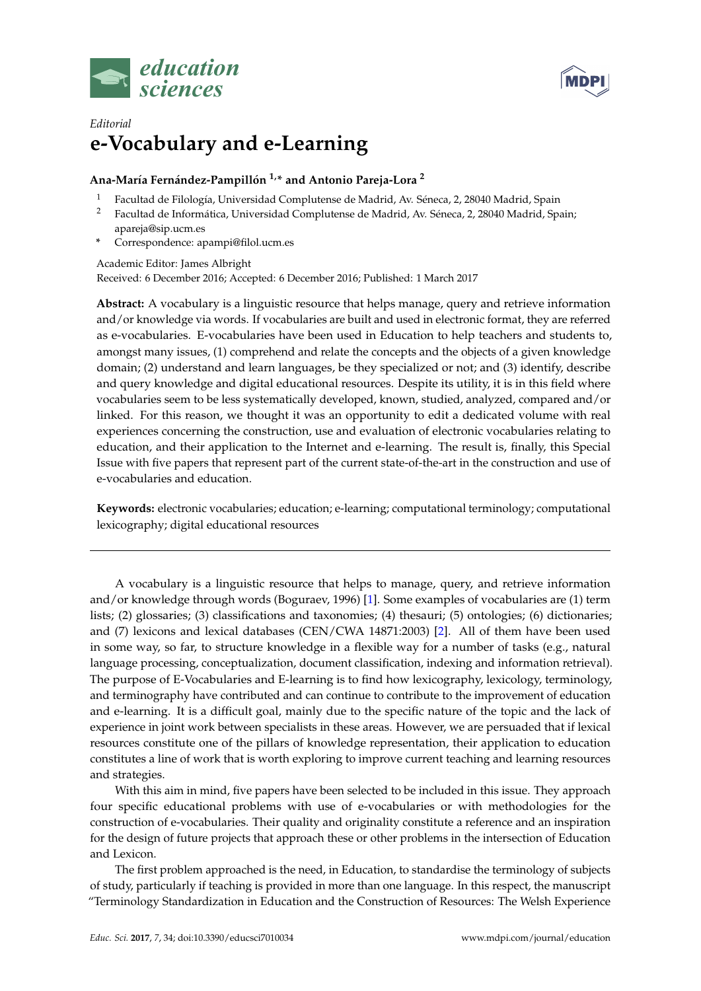



## *Editorial* **e-Vocabulary and e-Learning**

## **Ana-María Fernández-Pampillón 1,\* and Antonio Pareja-Lora <sup>2</sup>**

- <sup>1</sup> Facultad de Filología, Universidad Complutense de Madrid, Av. Séneca, 2, 28040 Madrid, Spain<br><sup>2</sup> Facultad de Informática Universidad Complutense de Madrid, Av. Séneca, 2, 28040 Madrid, Spa
- <sup>2</sup> Facultad de Informática, Universidad Complutense de Madrid, Av. Séneca, 2, 28040 Madrid, Spain; apareja@sip.ucm.es
- **\*** Correspondence: apampi@filol.ucm.es

Academic Editor: James Albright

Received: 6 December 2016; Accepted: 6 December 2016; Published: 1 March 2017

**Abstract:** A vocabulary is a linguistic resource that helps manage, query and retrieve information and/or knowledge via words. If vocabularies are built and used in electronic format, they are referred as e-vocabularies. E-vocabularies have been used in Education to help teachers and students to, amongst many issues, (1) comprehend and relate the concepts and the objects of a given knowledge domain; (2) understand and learn languages, be they specialized or not; and (3) identify, describe and query knowledge and digital educational resources. Despite its utility, it is in this field where vocabularies seem to be less systematically developed, known, studied, analyzed, compared and/or linked. For this reason, we thought it was an opportunity to edit a dedicated volume with real experiences concerning the construction, use and evaluation of electronic vocabularies relating to education, and their application to the Internet and e-learning. The result is, finally, this Special Issue with five papers that represent part of the current state-of-the-art in the construction and use of e-vocabularies and education.

**Keywords:** electronic vocabularies; education; e-learning; computational terminology; computational lexicography; digital educational resources

A vocabulary is a linguistic resource that helps to manage, query, and retrieve information and/or knowledge through words (Boguraev, 1996) [\[1\]](#page-2-0). Some examples of vocabularies are (1) term lists; (2) glossaries; (3) classifications and taxonomies; (4) thesauri; (5) ontologies; (6) dictionaries; and (7) lexicons and lexical databases (CEN/CWA 14871:2003) [\[2\]](#page-2-1). All of them have been used in some way, so far, to structure knowledge in a flexible way for a number of tasks (e.g., natural language processing, conceptualization, document classification, indexing and information retrieval). The purpose of E-Vocabularies and E-learning is to find how lexicography, lexicology, terminology, and terminography have contributed and can continue to contribute to the improvement of education and e-learning. It is a difficult goal, mainly due to the specific nature of the topic and the lack of experience in joint work between specialists in these areas. However, we are persuaded that if lexical resources constitute one of the pillars of knowledge representation, their application to education constitutes a line of work that is worth exploring to improve current teaching and learning resources and strategies.

With this aim in mind, five papers have been selected to be included in this issue. They approach four specific educational problems with use of e-vocabularies or with methodologies for the construction of e-vocabularies. Their quality and originality constitute a reference and an inspiration for the design of future projects that approach these or other problems in the intersection of Education and Lexicon.

The first problem approached is the need, in Education, to standardise the terminology of subjects of study, particularly if teaching is provided in more than one language. In this respect, the manuscript "Terminology Standardization in Education and the Construction of Resources: The Welsh Experience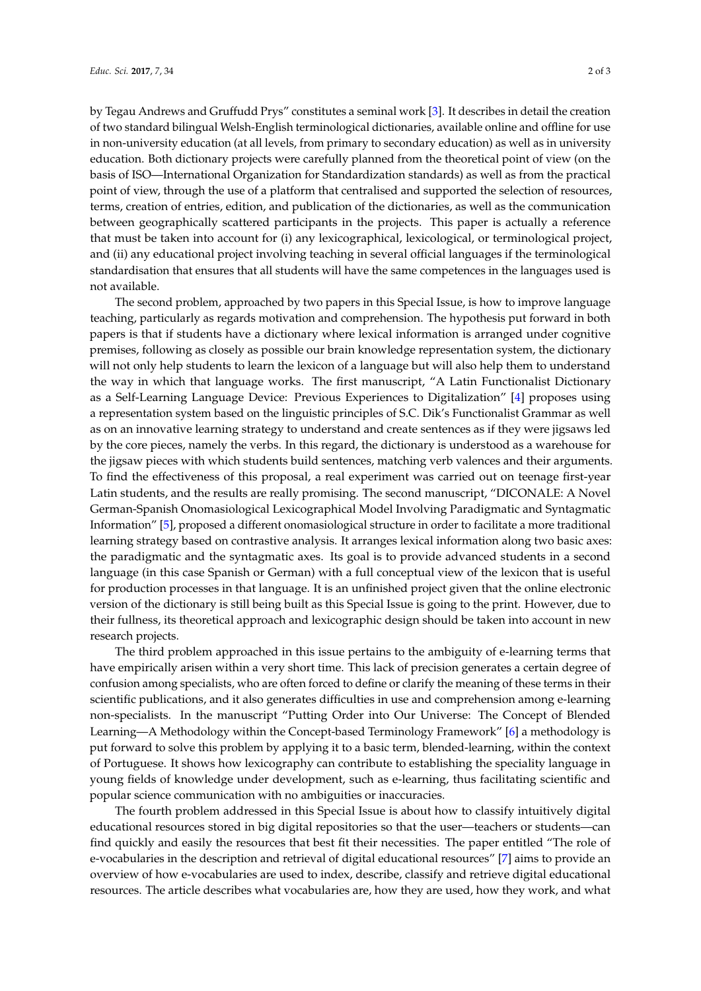by Tegau Andrews and Gruffudd Prys" constitutes a seminal work [\[3\]](#page-2-2). It describes in detail the creation of two standard bilingual Welsh-English terminological dictionaries, available online and offline for use in non-university education (at all levels, from primary to secondary education) as well as in university education. Both dictionary projects were carefully planned from the theoretical point of view (on the basis of ISO—International Organization for Standardization standards) as well as from the practical point of view, through the use of a platform that centralised and supported the selection of resources, terms, creation of entries, edition, and publication of the dictionaries, as well as the communication between geographically scattered participants in the projects. This paper is actually a reference that must be taken into account for (i) any lexicographical, lexicological, or terminological project, and (ii) any educational project involving teaching in several official languages if the terminological standardisation that ensures that all students will have the same competences in the languages used is not available.

The second problem, approached by two papers in this Special Issue, is how to improve language teaching, particularly as regards motivation and comprehension. The hypothesis put forward in both papers is that if students have a dictionary where lexical information is arranged under cognitive premises, following as closely as possible our brain knowledge representation system, the dictionary will not only help students to learn the lexicon of a language but will also help them to understand the way in which that language works. The first manuscript, "A Latin Functionalist Dictionary as a Self-Learning Language Device: Previous Experiences to Digitalization" [\[4\]](#page-2-3) proposes using a representation system based on the linguistic principles of S.C. Dik's Functionalist Grammar as well as on an innovative learning strategy to understand and create sentences as if they were jigsaws led by the core pieces, namely the verbs. In this regard, the dictionary is understood as a warehouse for the jigsaw pieces with which students build sentences, matching verb valences and their arguments. To find the effectiveness of this proposal, a real experiment was carried out on teenage first-year Latin students, and the results are really promising. The second manuscript, "DICONALE: A Novel German-Spanish Onomasiological Lexicographical Model Involving Paradigmatic and Syntagmatic Information" [\[5\]](#page-2-4), proposed a different onomasiological structure in order to facilitate a more traditional learning strategy based on contrastive analysis. It arranges lexical information along two basic axes: the paradigmatic and the syntagmatic axes. Its goal is to provide advanced students in a second language (in this case Spanish or German) with a full conceptual view of the lexicon that is useful for production processes in that language. It is an unfinished project given that the online electronic version of the dictionary is still being built as this Special Issue is going to the print. However, due to their fullness, its theoretical approach and lexicographic design should be taken into account in new research projects.

The third problem approached in this issue pertains to the ambiguity of e-learning terms that have empirically arisen within a very short time. This lack of precision generates a certain degree of confusion among specialists, who are often forced to define or clarify the meaning of these terms in their scientific publications, and it also generates difficulties in use and comprehension among e-learning non-specialists. In the manuscript "Putting Order into Our Universe: The Concept of Blended Learning—A Methodology within the Concept-based Terminology Framework" [\[6\]](#page-2-5) a methodology is put forward to solve this problem by applying it to a basic term, blended-learning, within the context of Portuguese. It shows how lexicography can contribute to establishing the speciality language in young fields of knowledge under development, such as e-learning, thus facilitating scientific and popular science communication with no ambiguities or inaccuracies.

The fourth problem addressed in this Special Issue is about how to classify intuitively digital educational resources stored in big digital repositories so that the user—teachers or students—can find quickly and easily the resources that best fit their necessities. The paper entitled "The role of e-vocabularies in the description and retrieval of digital educational resources" [\[7\]](#page-2-6) aims to provide an overview of how e-vocabularies are used to index, describe, classify and retrieve digital educational resources. The article describes what vocabularies are, how they are used, how they work, and what